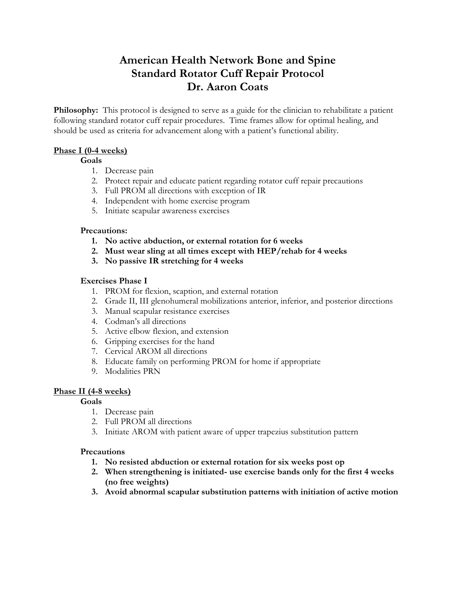# **American Health Network Bone and Spine Standard Rotator Cuff Repair Protocol Dr. Aaron Coats**

**Philosophy:** This protocol is designed to serve as a guide for the clinician to rehabilitate a patient following standard rotator cuff repair procedures. Time frames allow for optimal healing, and should be used as criteria for advancement along with a patient's functional ability.

# **Phase I (0-4 weeks)**

#### **Goals**

- 1. Decrease pain
- 2. Protect repair and educate patient regarding rotator cuff repair precautions
- 3. Full PROM all directions with exception of IR
- 4. Independent with home exercise program
- 5. Initiate scapular awareness exercises

#### **Precautions:**

- **1. No active abduction, or external rotation for 6 weeks**
- **2. Must wear sling at all times except with HEP/rehab for 4 weeks**
- **3. No passive IR stretching for 4 weeks**

#### **Exercises Phase I**

- 1. PROM for flexion, scaption, and external rotation
- 2. Grade II, III glenohumeral mobilizations anterior, inferior, and posterior directions
- 3. Manual scapular resistance exercises
- 4. Codman's all directions
- 5. Active elbow flexion, and extension
- 6. Gripping exercises for the hand
- 7. Cervical AROM all directions
- 8. Educate family on performing PROM for home if appropriate
- 9. Modalities PRN

#### **Phase II (4-8 weeks)**

# **Goals**

- 1. Decrease pain
- 2. Full PROM all directions
- 3. Initiate AROM with patient aware of upper trapezius substitution pattern

#### **Precautions**

- **1. No resisted abduction or external rotation for six weeks post op**
- **2. When strengthening is initiated- use exercise bands only for the first 4 weeks (no free weights)**
- **3. Avoid abnormal scapular substitution patterns with initiation of active motion**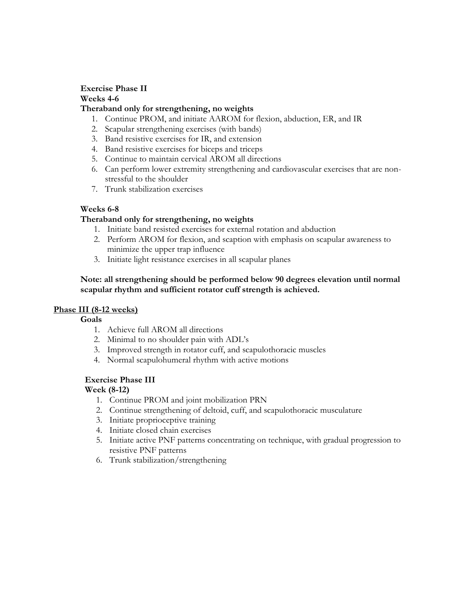# **Exercise Phase II Weeks 4-6**

# **Theraband only for strengthening, no weights**

- 1. Continue PROM, and initiate AAROM for flexion, abduction, ER, and IR
- 2. Scapular strengthening exercises (with bands)
- 3. Band resistive exercises for IR, and extension
- 4. Band resistive exercises for biceps and triceps
- 5. Continue to maintain cervical AROM all directions
- 6. Can perform lower extremity strengthening and cardiovascular exercises that are nonstressful to the shoulder
- 7. Trunk stabilization exercises

# **Weeks 6-8**

# **Theraband only for strengthening, no weights**

- 1. Initiate band resisted exercises for external rotation and abduction
- 2. Perform AROM for flexion, and scaption with emphasis on scapular awareness to minimize the upper trap influence
- 3. Initiate light resistance exercises in all scapular planes

### **Note: all strengthening should be performed below 90 degrees elevation until normal scapular rhythm and sufficient rotator cuff strength is achieved.**

#### **Phase III (8-12 weeks)**

**Goals**

- 1. Achieve full AROM all directions
- 2. Minimal to no shoulder pain with ADL's
- 3. Improved strength in rotator cuff, and scapulothoracic muscles
- 4. Normal scapulohumeral rhythm with active motions

# **Exercise Phase III**

#### **Week (8-12)**

- 1. Continue PROM and joint mobilization PRN
- 2. Continue strengthening of deltoid, cuff, and scapulothoracic musculature
- 3. Initiate proprioceptive training
- 4. Initiate closed chain exercises
- 5. Initiate active PNF patterns concentrating on technique, with gradual progression to resistive PNF patterns
- 6. Trunk stabilization/strengthening